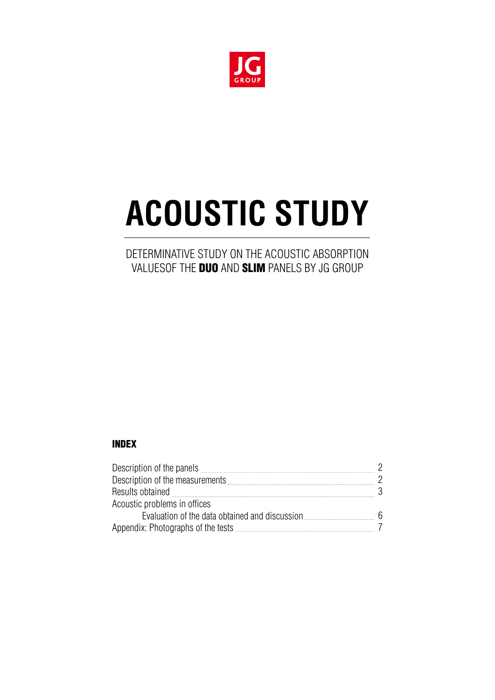

# **ACOUSTIC STUDY**

# DETERMINATIVE STUDY ON THE ACOUSTIC ABSORPTION VALUESOF THE **DUO** AND **SLIM** PANELS BY JG GROUP

#### INDEX

| Description of the panels <b>Constitution</b> and the panel state of the panel state of the panel state of the panel s |     |
|------------------------------------------------------------------------------------------------------------------------|-----|
| Description of the measurements                                                                                        |     |
| Results obtained                                                                                                       |     |
| Acoustic problems in offices                                                                                           |     |
| Evaluation of the data obtained and discussion                                                                         | - 6 |
|                                                                                                                        |     |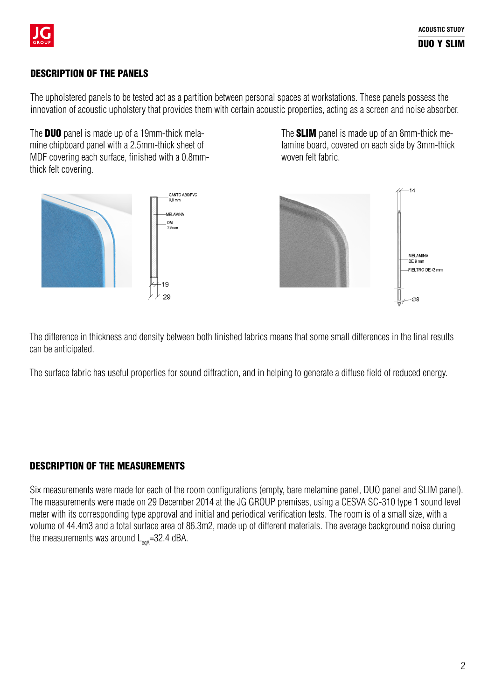

### DESCRIPTION OF THE PANELS

The upholstered panels to be tested act as a partition between personal spaces at workstations. These panels possess the innovation of acoustic upholstery that provides them with certain acoustic properties, acting as a screen and noise absorber.

The **DUO** panel is made up of a 19mm-thick melamine chipboard panel with a 2.5mm-thick sheet of MDF covering each surface, finished with a 0.8mmthick felt covering.

The SLIM panel is made up of an 8mm-thick melamine board, covered on each side by 3mm-thick woven felt fabric.



The difference in thickness and density between both finished fabrics means that some small differences in the final results can be anticipated.

The surface fabric has useful properties for sound diffraction, and in helping to generate a diffuse field of reduced energy.

### DESCRIPTION OF THE MEASUREMENTS

Six measurements were made for each of the room configurations (empty, bare melamine panel, DUO panel and SLIM panel). The measurements were made on 29 December 2014 at the JG GROUP premises, using a CESVA SC-310 type 1 sound level meter with its corresponding type approval and initial and periodical verification tests. The room is of a small size, with a volume of 44.4m3 and a total surface area of 86.3m2, made up of different materials. The average background noise during the measurements was around  $L_{\text{end}}$ =32.4 dBA.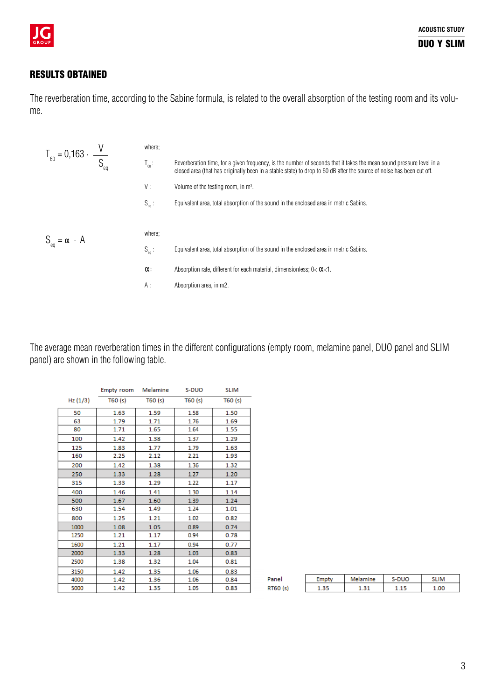

### RESULTS OBTAINED

The reverberation time, according to the Sabine formula, is related to the overall absorption of the testing room and its volume.

| $T_{60} = 0,163 \cdot \frac{V}{S_{eq}}$ | where;     |                                                                                                                                                                                                                                               |
|-----------------------------------------|------------|-----------------------------------------------------------------------------------------------------------------------------------------------------------------------------------------------------------------------------------------------|
|                                         | $T_{60}$ : | Reverberation time, for a given frequency, is the number of seconds that it takes the mean sound pressure level in a<br>closed area (that has originally been in a stable state) to drop to 60 dB after the source of noise has been cut off. |
|                                         | V:         | Volume of the testing room, in m <sup>3</sup> .                                                                                                                                                                                               |
|                                         | $S_{eq}$ : | Equivalent area, total absorption of the sound in the enclosed area in metric Sabins.                                                                                                                                                         |
|                                         |            |                                                                                                                                                                                                                                               |
| $S_{eq} = \alpha \cdot A$               | where;     |                                                                                                                                                                                                                                               |
|                                         | $S_{eq}$ : | Equivalent area, total absorption of the sound in the enclosed area in metric Sabins.                                                                                                                                                         |
|                                         | α:         | Absorption rate, different for each material, dimensionless; $0 < \alpha < 1$ .                                                                                                                                                               |
|                                         | $A$ :      | Absorption area, in m2.                                                                                                                                                                                                                       |
|                                         |            |                                                                                                                                                                                                                                               |

The average mean reverberation times in the different configurations (empty room, melamine panel, DUO panel and SLIM panel) are shown in the following table.

|         | Empty room Melamine |        | S-DUO  | <b>SLIM</b> |
|---------|---------------------|--------|--------|-------------|
| Hz(1/3) | T60(s)              | T60(s) | T60(s) | T60(s)      |
| 50      | 1.63                | 1.59   | 1.58   | 1.50        |
| 63      | 1.79                | 1.71   | 1.76   | 1.69        |
| 80      | 1.71                | 1.65   | 1.64   | 1.55        |
| 100     | 1.42                | 1.38   | 1.37   | 1.29        |
| 125     | 1.83                | 1.77   | 1.79   | 1.63        |
| 160     | 2.25                | 2.12   | 2.21   | 1.93        |
| 200     | 1.42                | 1.38   | 1.36   | 1.32        |
| 250     | 1.33                | 1.28   | 1.27   | 1.20        |
| 315     | 1.33                | 1.29   | 1.22   | 1.17        |
| 400     | 1.46                | 1.41   | 1.30   | 1.14        |
| 500     | 1.67                | 1.60   | 1.39   | 1.24        |
| 630     | 1.54                | 1.49   | 1.24   | 1.01        |
| 800     | 1.25                | 1.21   | 1.02   | 0.82        |
| 1000    | 1.08                | 1.05   | 0.89   | 0.74        |
| 1250    | 1.21                | 1.17   | 0.94   | 0.78        |
| 1600    | 1.21                | 1.17   | 0.94   | 0.77        |
| 2000    | 1.33                | 1.28   | 1.03   | 0.83        |
| 2500    | 1.38                | 1.32   | 1.04   | 0.81        |
| 3150    | 1.42                | 1.35   | 1.06   | 0.83        |
| 4000    | 1.42                | 1.36   | 1.06   | 0.84        |
| 5000    | 1.42                | 1.35   | 1.05   | 0.83        |

| Panel    | Melamine | S-DUO | IM |
|----------|----------|-------|----|
| RT60 (s) | 21       |       |    |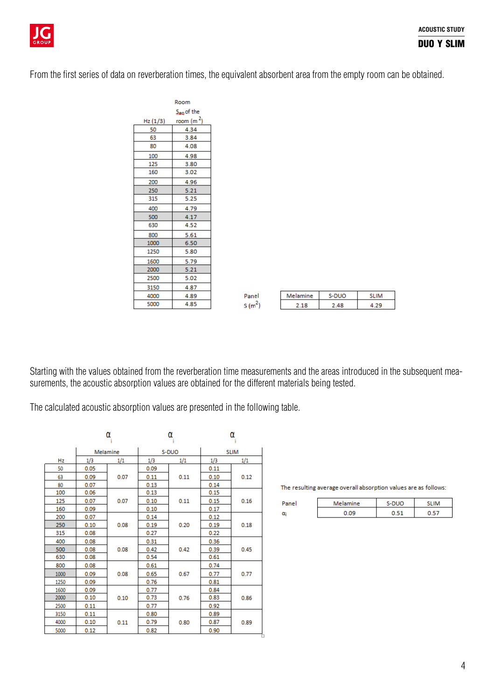

From the first series of data on reverberation times, the equivalent absorbent area from the empty room can be obtained.

| Room       |             |  |  |  |
|------------|-------------|--|--|--|
| Sea of the |             |  |  |  |
| Hz (1/3)   | room $(m2)$ |  |  |  |
| 50         | 4.34        |  |  |  |
| 63         | 3.84        |  |  |  |
| 80         | 4.08        |  |  |  |
| 100        | 4.98        |  |  |  |
| 125        | 3.80        |  |  |  |
| 160        | 3.02        |  |  |  |
| 200        | 4.96        |  |  |  |
| 250        | 5.21        |  |  |  |
| 315        | 5.25        |  |  |  |
| 400        | 4.79        |  |  |  |
| 500        | 4.17        |  |  |  |
| 630        | 4.52        |  |  |  |
| 800        | 5.61        |  |  |  |
| 1000       | 6.50        |  |  |  |
| 1250       | 5.80        |  |  |  |
| 1600       | 5.79        |  |  |  |
| 2000       | 5.21        |  |  |  |
| 2500       | 5.02        |  |  |  |
| 3150       | 4.87        |  |  |  |
| 4000       | 4.89        |  |  |  |
| 5000       | 4.85        |  |  |  |

| Panel | Melamine | S-DUO |  |
|-------|----------|-------|--|
| S(m)  |          | л о   |  |

Starting with the values obtained from the reverberation time measurements and the areas introduced in the subsequent measurements, the acoustic absorption values are obtained for the different materials being tested.

The calculated acoustic absorption values are presented in the following table.

|      | α    |          | α     |      | α           |      |
|------|------|----------|-------|------|-------------|------|
|      |      | Melamine | S-DUO |      | <b>SLIM</b> |      |
| Hz   | 1/3  | 1/1      | 1/3   | 1/1  | 1/3         | 1/1  |
| 50   | 0.05 |          | 0.09  |      | 0.11        |      |
| 63   | 0.09 | 0.07     | 0.11  | 0.11 | 0.10        | 0.12 |
| 80   | 0.07 |          | 0.13  |      | 0.14        |      |
| 100  | 0.06 |          | 0.13  |      | 0.15        |      |
| 125  | 0.07 | 0.07     | 0.10  | 0.11 | 0.15        | 0.16 |
| 160  | 0.09 |          | 0.10  |      | 0.17        |      |
| 200  | 0.07 |          | 0.14  |      | 0.12        |      |
| 250  | 0.10 | 0.08     | 0.19  | 0.20 | 0.19        | 0.18 |
| 315  | 0.08 |          | 0.27  |      | 0.22        |      |
| 400  | 0.08 |          | 0.31  |      | 0.36        |      |
| 500  | 0.08 | 0.08     | 0.42  | 0.42 | 0.39        | 0.45 |
| 630  | 0.08 |          | 0.54  |      | 0.61        |      |
| 800  | 0.08 |          | 0.61  |      | 0.74        |      |
| 1000 | 0.09 | 0.08     | 0.65  | 0.67 | 0.77        | 0.77 |
| 1250 | 0.09 |          | 0.76  |      | 0.81        |      |
| 1600 | 0.09 |          | 0.77  |      | 0.84        |      |
| 2000 | 0.10 | 0.10     | 0.73  | 0.76 | 0.83        | 0.86 |
| 2500 | 0.11 |          | 0.77  |      | 0.92        |      |
| 3150 | 0.11 |          | 0.80  |      | 0.89        |      |
| 4000 | 0.10 | 0.11     | 0.79  | 0.80 | 0.87        | 0.89 |
| 5000 | 0.12 |          | 0.82  |      | 0.90        |      |

The resulting average overall absorption values are as follows:

| <b>START</b> | Melamine | ю<br>. . |  |
|--------------|----------|----------|--|
| α            |          |          |  |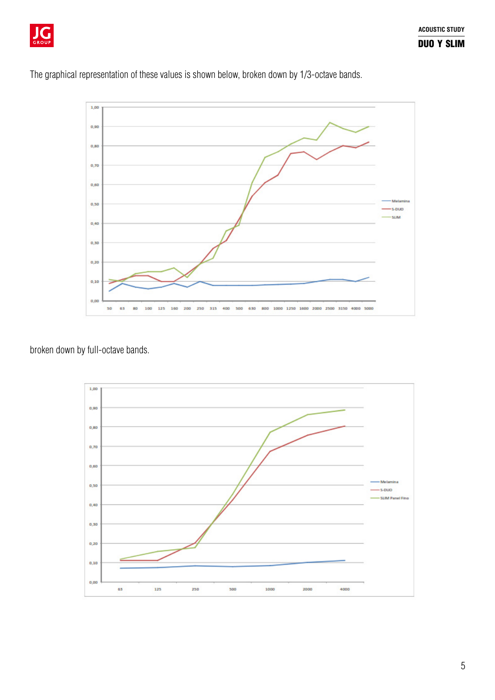

The graphical representation of these values is shown below, broken down by 1/3-octave bands.



broken down by full-octave bands.

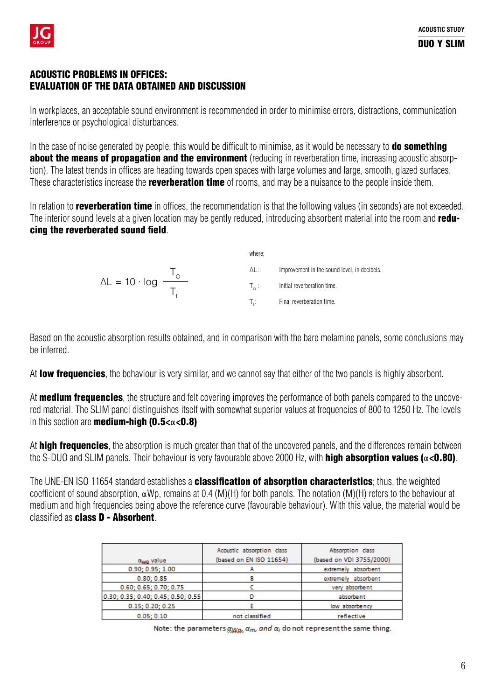## ACOUSTIC PROBLEMS IN OFFICES: EVALUATION OF THE DATA OBTAINED AND DISCUSSION

In workplaces, an acceptable sound environment is recommended in order to minimise errors, distractions, communication interference or psychological disturbances.

In the case of noise generated by people, this would be difficult to minimise, as it would be necessary to **do something** about the means of propagation and the environment (reducing in reverberation time, increasing acoustic absorption). The latest trends in offices are heading towards open spaces with large volumes and large, smooth, glazed surfaces. These characteristics increase the **reverberation time** of rooms, and may be a nuisance to the people inside them.

In relation to **reverberation time** in offices, the recommendation is that the following values (in seconds) are not exceeded. The interior sound levels at a given location may be gently reduced, introducing absorbent material into the room and reducing the reverberated sound field.

where;  
\n
$$
\Delta L = 10 \cdot \log \frac{T_{\odot}}{T_{f}}
$$
\n
$$
\Delta L: \qquad \text{Improvement in the sound level, in decibels.}
$$
\n
$$
T_{\circ}: \qquad \text{Initial representation time.}
$$
\n
$$
T_{f}: \qquad \text{Final representation time.}
$$

Based on the acoustic absorption results obtained, and in comparison with the bare melamine panels, some conclusions may be inferred.

At low frequencies, the behaviour is very similar, and we cannot say that either of the two panels is highly absorbent.

At **medium frequencies**, the structure and felt covering improves the performance of both panels compared to the uncovered material. The SLIM panel distinguishes itself with somewhat superior values at frequencies of 800 to 1250 Hz. The levels in this section are **medium-high (0.5<** $\alpha$ **<0.8)** 

At **high frequencies**, the absorption is much greater than that of the uncovered panels, and the differences remain between the S-DUO and SLIM panels. Their behaviour is very favourable above 2000 Hz, with **high absorption values (** $\alpha$ **<0.80)**.

The UNE-EN ISO 11654 standard establishes a **classification of absorption characteristics**; thus, the weighted coefficient of sound absorption, αWp, remains at 0.4 (M)(H) for both panels. The notation (M)(H) refers to the behaviour at medium and high frequencies being above the reference curve (favourable behaviour). With this value, the material would be classified as class D - Absorbent.

|                                    | Acoustic absorption class<br>(based on EN ISO 11654) | Absorption class<br>(based on VDI 3755/2000) |
|------------------------------------|------------------------------------------------------|----------------------------------------------|
| a <sub>wo</sub> value              |                                                      |                                              |
| 0.90; 0.95; 1.00                   |                                                      | absorbent<br>extreme ly                      |
| 0.80; 0.85                         |                                                      | extremely absorbent                          |
| 0.60; 0.65; 0.70; 0.75             |                                                      | very absorbent                               |
| 0.30; 0.35; 0.40; 0.45; 0.50; 0.55 |                                                      | absorbent                                    |
| 0.15; 0.20; 0.25                   |                                                      | low absorbency                               |
| 0.05:0.10                          | not classified                                       | reflective                                   |

Note: the parameters  $\alpha_{Wap}$ ,  $\alpha_m$ , and  $\alpha_i$  do not represent the same thing.